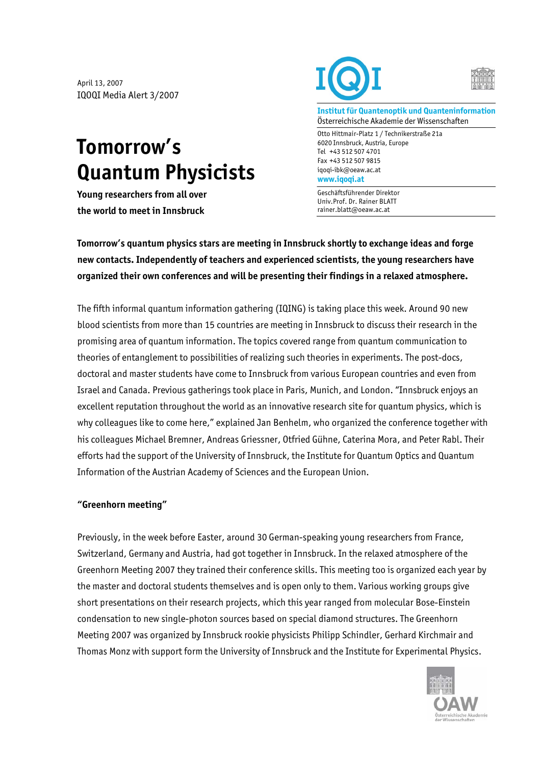April 13, 2007 IQOQI Media Alert 3/2007

## **Tomorrow's Quantum Physicists**

**Young researchers from all over the world to meet in Innsbruck** 





**Institut für Quantenoptik und Quanteninformation**  Österreichische Akademie der Wissenschaften

Otto Hittmair-Platz 1 / Technikerstraße 21a 6020 Innsbruck, Austria, Europe Tel +43 512 507 4701 Fax +43 512 507 9815 iqoqi-ibk@oeaw.ac.at **www.iqoqi.at** 

Geschäftsführender Direktor Univ.Prof. Dr. Rainer BLATT rainer.blatt@oeaw.ac.at

**Tomorrow's quantum physics stars are meeting in Innsbruck shortly to exchange ideas and forge new contacts. Independently of teachers and experienced scientists, the young researchers have organized their own conferences and will be presenting their findings in a relaxed atmosphere.** 

The fifth informal quantum information gathering (IQING) is taking place this week. Around 90 new blood scientists from more than 15 countries are meeting in Innsbruck to discuss their research in the promising area of quantum information. The topics covered range from quantum communication to theories of entanglement to possibilities of realizing such theories in experiments. The post-docs, doctoral and master students have come to Innsbruck from various European countries and even from Israel and Canada. Previous gatherings took place in Paris, Munich, and London. "Innsbruck enjoys an excellent reputation throughout the world as an innovative research site for quantum physics, which is why colleagues like to come here," explained Jan Benhelm, who organized the conference together with his colleagues Michael Bremner, Andreas Griessner, Otfried Gühne, Caterina Mora, and Peter Rabl. Their efforts had the support of the University of Innsbruck, the Institute for Quantum Optics and Quantum Information of the Austrian Academy of Sciences and the European Union.

## **"Greenhorn meeting"**

Previously, in the week before Easter, around 30 German-speaking young researchers from France, Switzerland, Germany and Austria, had got together in Innsbruck. In the relaxed atmosphere of the Greenhorn Meeting 2007 they trained their conference skills. This meeting too is organized each year by the master and doctoral students themselves and is open only to them. Various working groups give short presentations on their research projects, which this year ranged from molecular Bose-Einstein condensation to new single-photon sources based on special diamond structures. The Greenhorn Meeting 2007 was organized by Innsbruck rookie physicists Philipp Schindler, Gerhard Kirchmair and Thomas Monz with support form the University of Innsbruck and the Institute for Experimental Physics.